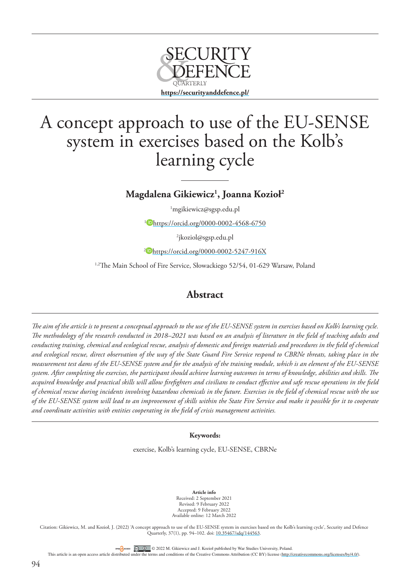

# A concept approach to use of the EU-SENSE system in exercises based on the Kolb's learning cycle

# **Magdalena Gikiewicz1 , Joanna Kozioł2**

1 mgikiewicz@sgsp.edu.pl

<sup>1</sup> <https://orcid.org/0000-0002-4568-6750>

2 jkoziol@sgsp.edu.pl

<sup>2</sup> <https://orcid.org/0000-0002-5247-916X>

<sup>1,2</sup>The Main School of Fire Service, Słowackiego 52/54, 01-629 Warsaw, Poland

# **Abstract**

*The aim of the article is to present a conceptual approach to the use of the EU-SENSE system in exercises based on Kolb's learning cycle. The methodology of the research conducted in 2018–2021 was based on an analysis of literature in the field of teaching adults and conducting training, chemical and ecological rescue, analysis of domestic and foreign materials and procedures in the field of chemical and ecological rescue, direct observation of the way of the State Guard Fire Service respond to CBRNe threats, taking place in the measurement test dams of the EU-SENSE system and for the analysis of the training module, which is an element of the EU-SENSE system. After completing the exercises, the participant should achieve learning outcomes in terms of knowledge, abilities and skills. The acquired knowledge and practical skills will allow firefighters and civilians to conduct effective and safe rescue operations in the field of chemical rescue during incidents involving hazardous chemicals in the future. Exercises in the field of chemical rescue with the use of the EU-SENSE system will lead to an improvement of skills within the State Fire Service and make it possible for it to cooperate and coordinate activities with entities cooperating in the field of crisis management activities.*

### **Keywords:**

exercise, Kolb's learning cycle, EU-SENSE, CBRNe

**Article info** Received: 2 September 2021 Revised: 9 February 2022 Accepted: 9 February 2022 Available online: 12 March 2022

Citation: Gikiewicz, M. and Kozioł, J. (2022) 'A concept approach to use of the EU-SENSE system in exercises based on the Kolb's learning cycle', Security and Defence Quarterly, 37(1), pp. 94–102. doi: [10.35467/sdq/144563](http://doi.org/10.35467/sdq/146563).

OR 2022 M. Gikiewicz and J. Kozioł published by War Studies University, Poland.

This article is an open access article distributed under the terms and conditions of the Creative Commons Attribution (CC BY) license [\(http://creativecommons.org/licenses/by/4.0/](http://creativecommons.org/licenses/by/4.0/)).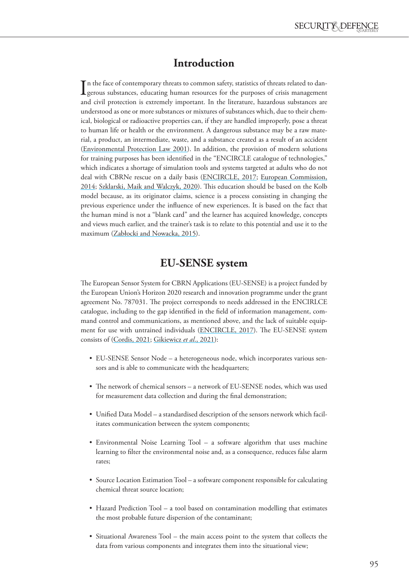# **Introduction**

In the face of contemporary threats to common safety, statistics of threats related to dangerous substances, educating human resources for the purposes of crisis management In the face of contemporary threats to common safety, statistics of threats related to danand civil protection is extremely important. In the literature, hazardous substances are understood as one or more substances or mixtures of substances which, due to their chemical, biological or radioactive properties can, if they are handled improperly, pose a threat to human life or health or the environment. A dangerous substance may be a raw material, a product, an intermediate, waste, and a substance created as a result of an accident [\(Environmental Protection Law 2001\)](#page-8-0). In addition, the provision of modern solutions for training purposes has been identified in the "ENCIRCLE catalogue of technologies," which indicates a shortage of simulation tools and systems targeted at adults who do not deal with CBRNe rescue on a daily basis [\(ENCIRCLE, 2017;](#page-8-1) European Commission, [2014;](#page-8-2) [Szklarski, Maik and Walczyk, 2020](#page-8-3)). This education should be based on the Kolb model because, as its originator claims, science is a process consisting in changing the previous experience under the influence of new experiences. It is based on the fact that the human mind is not a "blank card" and the learner has acquired knowledge, concepts and views much earlier, and the trainer's task is to relate to this potential and use it to the maximum [\(Zabłocki and Nowacka, 2015\)](#page-8-4).

### **EU-SENSE system**

The European Sensor System for CBRN Applications (EU-SENSE) is a project funded by the European Union's Horizon 2020 research and innovation programme under the grant agreement No. 787031. The project corresponds to needs addressed in the ENCIRLCE catalogue, including to the gap identified in the field of information management, command control and communications, as mentioned above, and the lack of suitable equipment for use with untrained individuals [\(ENCIRCLE, 2017\)](#page-8-1). The EU-SENSE system consists of [\(Cordis, 2021](#page-8-5); Gikiewicz *et al*., 2021):

- EU-SENSE Sensor Node a heterogeneous node, which incorporates various sensors and is able to communicate with the headquarters;
- The network of chemical sensors a network of EU-SENSE nodes, which was used for measurement data collection and during the final demonstration;
- Unified Data Model a standardised description of the sensors network which facilitates communication between the system components;
- Environmental Noise Learning Tool a software algorithm that uses machine learning to filter the environmental noise and, as a consequence, reduces false alarm rates;
- Source Location Estimation Tool a software component responsible for calculating chemical threat source location;
- Hazard Prediction Tool a tool based on contamination modelling that estimates the most probable future dispersion of the contaminant;
- Situational Awareness Tool the main access point to the system that collects the data from various components and integrates them into the situational view;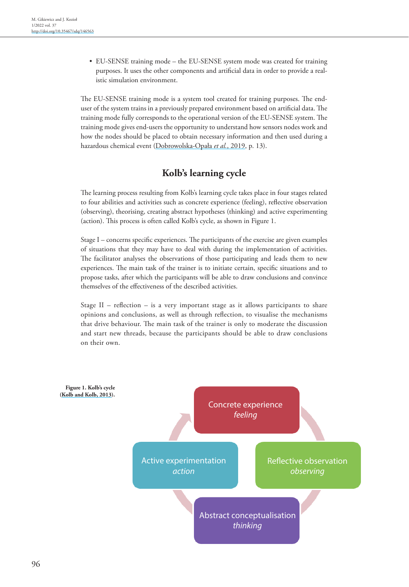• EU-SENSE training mode – the EU-SENSE system mode was created for training purposes. It uses the other components and artificial data in order to provide a realistic simulation environment.

The EU-SENSE training mode is a system tool created for training purposes. The enduser of the system trains in a previously prepared environment based on artificial data. The training mode fully corresponds to the operational version of the EU-SENSE system. The training mode gives end-users the opportunity to understand how sensors nodes work and how the nodes should be placed to obtain necessary information and then used during a hazardous chemical event (Dobrowolska-Opała *et al.*, 2019, p. 13).

### **Kolb's learning cycle**

The learning process resulting from Kolb's learning cycle takes place in four stages related to four abilities and activities such as concrete experience (feeling), reflective observation (observing), theorising, creating abstract hypotheses (thinking) and active experimenting (action). This process is often called Kolb's cycle, as shown in Figure 1.

Stage I – concerns specific experiences. The participants of the exercise are given examples of situations that they may have to deal with during the implementation of activities. The facilitator analyses the observations of those participating and leads them to new experiences. The main task of the trainer is to initiate certain, specific situations and to propose tasks, after which the participants will be able to draw conclusions and convince themselves of the effectiveness of the described activities.

Stage II – reflection – is a very important stage as it allows participants to share opinions and conclusions, as well as through reflection, to visualise the mechanisms that drive behaviour. The main task of the trainer is only to moderate the discussion and start new threads, because the participants should be able to draw conclusions on their own.

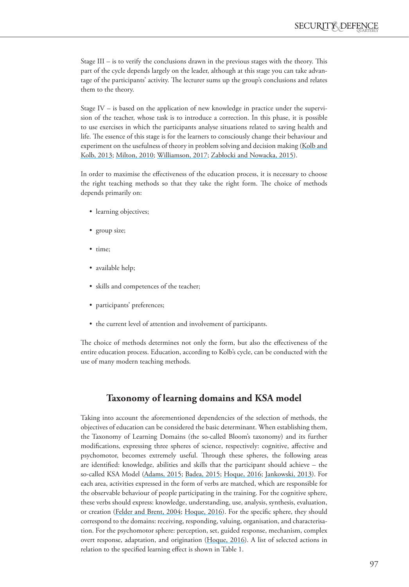Stage III – is to verify the conclusions drawn in the previous stages with the theory. This part of the cycle depends largely on the leader, although at this stage you can take advantage of the participants' activity. The lecturer sums up the group's conclusions and relates them to the theory.

Stage IV – is based on the application of new knowledge in practice under the supervision of the teacher, whose task is to introduce a correction. In this phase, it is possible to use exercises in which the participants analyse situations related to saving health and life. The essence of this stage is for the learners to consciously change their behaviour and experiment on the usefulness of theory in problem solving and decision making (Kolb and [Kolb, 2013;](#page-8-6) [Milton, 2010;](#page-8-7) [Williamson, 2017;](#page-8-8) [Zabłocki and Nowacka, 2015](#page-8-4)).

In order to maximise the effectiveness of the education process, it is necessary to choose the right teaching methods so that they take the right form. The choice of methods depends primarily on:

- learning objectives;
- group size;
- time;
- available help;
- skills and competences of the teacher;
- participants' preferences;
- the current level of attention and involvement of participants.

The choice of methods determines not only the form, but also the effectiveness of the entire education process. Education, according to Kolb's cycle, can be conducted with the use of many modern teaching methods.

### **Taxonomy of learning domains and KSA model**

Taking into account the aforementioned dependencies of the selection of methods, the objectives of education can be considered the basic determinant. When establishing them, the Taxonomy of Learning Domains (the so-called Bloom's taxonomy) and its further modifications, expressing three spheres of science, respectively: cognitive, affective and psychomotor, becomes extremely useful. Through these spheres, the following areas are identified: knowledge, abilities and skills that the participant should achieve – the so-called KSA Model ([Adams, 2015;](#page-7-0) [Badea, 2015](#page-7-1); [Hoque, 2016;](#page-8-9) [Jankowski, 2013](#page-8-10)). For each area, activities expressed in the form of verbs are matched, which are responsible for the observable behaviour of people participating in the training. For the cognitive sphere, these verbs should express: knowledge, understanding, use, analysis, synthesis, evaluation, or creation [\(Felder and Brent, 2004;](#page-8-11) [Hoque, 2016](#page-8-9)). For the specific sphere, they should correspond to the domains: receiving, responding, valuing, organisation, and characterisation. For the psychomotor sphere: perception, set, guided response, mechanism, complex overt response, adaptation, and origination ([Hoque, 2016](#page-8-9)). A list of selected actions in relation to the specified learning effect is shown in Table 1.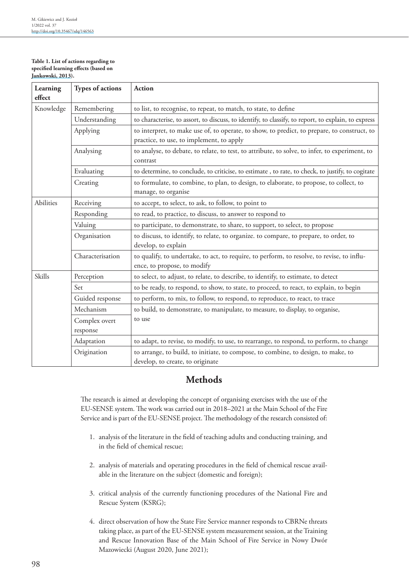#### **Table 1. List of actions regarding to specified learning effects (based on [Jankowski, 2013](#page-8-10)).**

| Learning<br>effect | <b>Types of actions</b>   | <b>Action</b>                                                                                                                           |
|--------------------|---------------------------|-----------------------------------------------------------------------------------------------------------------------------------------|
| Knowledge          | Remembering               | to list, to recognise, to repeat, to match, to state, to define                                                                         |
|                    | Understanding             | to characterise, to assort, to discuss, to identify, to classify, to report, to explain, to express                                     |
|                    | Applying                  | to interpret, to make use of, to operate, to show, to predict, to prepare, to construct, to<br>practice, to use, to implement, to apply |
|                    | Analysing                 | to analyse, to debate, to relate, to test, to attribute, to solve, to infer, to experiment, to<br>contrast                              |
|                    | Evaluating                | to determine, to conclude, to criticise, to estimate, to rate, to check, to justify, to cogitate                                        |
|                    | Creating                  | to formulate, to combine, to plan, to design, to elaborate, to propose, to collect, to<br>manage, to organise                           |
| <b>Abilities</b>   | Receiving                 | to accept, to select, to ask, to follow, to point to                                                                                    |
|                    | Responding                | to read, to practice, to discuss, to answer to respond to                                                                               |
|                    | Valuing                   | to participate, to demonstrate, to share, to support, to select, to propose                                                             |
|                    | Organisation              | to discuss, to identify, to relate, to organize. to compare, to prepare, to order, to<br>develop, to explain                            |
|                    | Characterisation          | to qualify, to undertake, to act, to require, to perform, to resolve, to revise, to influ-<br>ence, to propose, to modify               |
| Skills             | Perception                | to select, to adjust, to relate, to describe, to identify, to estimate, to detect                                                       |
|                    | Set                       | to be ready, to respond, to show, to state, to proceed, to react, to explain, to begin                                                  |
|                    | Guided response           | to perform, to mix, to follow, to respond, to reproduce, to react, to trace                                                             |
|                    | Mechanism                 | to build, to demonstrate, to manipulate, to measure, to display, to organise,                                                           |
|                    | Complex overt<br>response | to use                                                                                                                                  |
|                    | Adaptation                | to adapt, to revise, to modify, to use, to rearrange, to respond, to perform, to change                                                 |
|                    | Origination               | to arrange, to build, to initiate, to compose, to combine, to design, to make, to<br>develop, to create, to originate                   |

# **Methods**

The research is aimed at developing the concept of organising exercises with the use of the EU-SENSE system. The work was carried out in 2018–2021 at the Main School of the Fire Service and is part of the EU-SENSE project. The methodology of the research consisted of:

- 1. analysis of the literature in the field of teaching adults and conducting training, and in the field of chemical rescue;
- 2. analysis of materials and operating procedures in the field of chemical rescue available in the literature on the subject (domestic and foreign);
- 3. critical analysis of the currently functioning procedures of the National Fire and Rescue System (KSRG);
- 4. direct observation of how the State Fire Service manner responds to CBRNe threats taking place, as part of the EU-SENSE system measurement session, at the Training and Rescue Innovation Base of the Main School of Fire Service in Nowy Dwór Mazowiecki (August 2020, June 2021);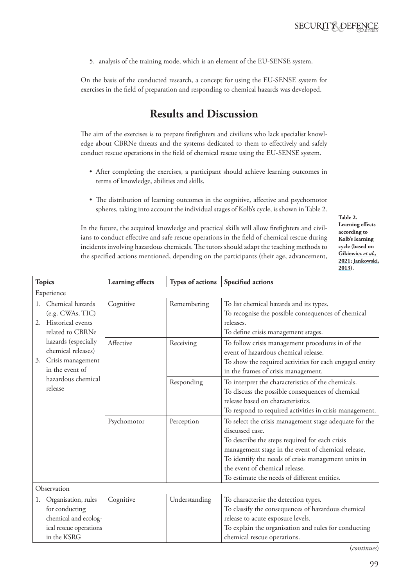5. analysis of the training mode, which is an element of the EU-SENSE system.

On the basis of the conducted research, a concept for using the EU-SENSE system for exercises in the field of preparation and responding to chemical hazards was developed.

# **Results and Discussion**

The aim of the exercises is to prepare firefighters and civilians who lack specialist knowledge about CBRNe threats and the systems dedicated to them to effectively and safely conduct rescue operations in the field of chemical rescue using the EU-SENSE system.

- After completing the exercises, a participant should achieve learning outcomes in terms of knowledge, abilities and skills.
- The distribution of learning outcomes in the cognitive, affective and psychomotor spheres, taking into account the individual stages of Kolb's cycle, is shown in Table 2.

**Table 2. Learning effects according to Kolb's learning cycle (based on Gikiewicz** *et al.,* **2021; [Jankowski,](#page-8-10)  [2013](#page-8-10)).**

In the future, the acquired knowledge and practical skills will allow firefighters and civilians to conduct effective and safe rescue operations in the field of chemical rescue during incidents involving hazardous chemicals. The tutors should adapt the teaching methods to the specified actions mentioned, depending on the participants (their age, advancement,

| <b>Topics</b>                                                                                             | <b>Learning</b> effects | <b>Types of actions</b> | Specified actions                                                                                                                                                                                                                                                                                                          |  |  |  |
|-----------------------------------------------------------------------------------------------------------|-------------------------|-------------------------|----------------------------------------------------------------------------------------------------------------------------------------------------------------------------------------------------------------------------------------------------------------------------------------------------------------------------|--|--|--|
| Experience                                                                                                |                         |                         |                                                                                                                                                                                                                                                                                                                            |  |  |  |
| Chemical hazards<br>1.<br>(e.g. CWAs, TIC)<br>2. Historical events<br>related to CBRNe                    | Cognitive               | Remembering             | To list chemical hazards and its types.<br>To recognise the possible consequences of chemical<br>releases.<br>To define crisis management stages.                                                                                                                                                                          |  |  |  |
| hazards (especially<br>chemical releases)<br>3. Crisis management<br>in the event of                      | Affective               | Receiving               | To follow crisis management procedures in of the<br>event of hazardous chemical release.<br>To show the required activities for each engaged entity<br>in the frames of crisis management.                                                                                                                                 |  |  |  |
| hazardous chemical<br>release                                                                             |                         | Responding              | To interpret the characteristics of the chemicals.<br>To discuss the possible consequences of chemical<br>release based on characteristics.<br>To respond to required activities in crisis management.                                                                                                                     |  |  |  |
|                                                                                                           | Psychomotor             | Perception              | To select the crisis management stage adequate for the<br>discussed case.<br>To describe the steps required for each crisis<br>management stage in the event of chemical release,<br>To identify the needs of crisis management units in<br>the event of chemical release.<br>To estimate the needs of different entities. |  |  |  |
| Observation                                                                                               |                         |                         |                                                                                                                                                                                                                                                                                                                            |  |  |  |
| 1. Organisation, rules<br>for conducting<br>chemical and ecolog-<br>ical rescue operations<br>in the KSRG | Cognitive               | Understanding           | To characterise the detection types.<br>To classify the consequences of hazardous chemical<br>release to acute exposure levels.<br>To explain the organisation and rules for conducting<br>chemical rescue operations.                                                                                                     |  |  |  |

(*continues*)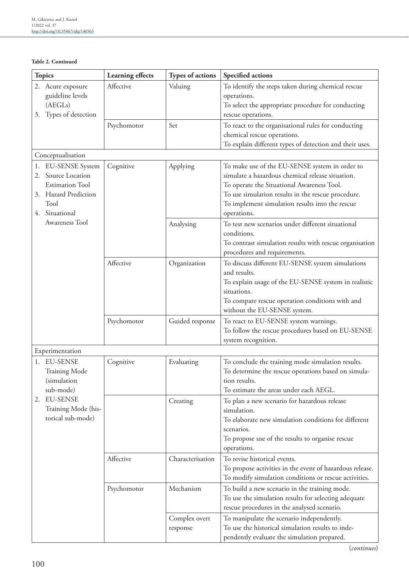#### **Table 2. Continued**

| <b>Topics</b>                                                                                                                    | Learning effects | <b>Types of actions</b>   | Specified actions                                                                                                                                                                                                                                                        |
|----------------------------------------------------------------------------------------------------------------------------------|------------------|---------------------------|--------------------------------------------------------------------------------------------------------------------------------------------------------------------------------------------------------------------------------------------------------------------------|
| 2. Acute exposure<br>guideline levels                                                                                            | Affective        | Valuing                   | To identify the steps taken during chemical rescue<br>operations.                                                                                                                                                                                                        |
| (AEGLs)<br>3. Types of detection                                                                                                 |                  |                           | To select the appropriate procedure for conducting<br>rescue operations.                                                                                                                                                                                                 |
|                                                                                                                                  | Psychomotor      | Set                       | To react to the organisational rules for conducting<br>chemical rescue operations.<br>To explain different types of detection and their uses.                                                                                                                            |
| Conceptualisation                                                                                                                |                  |                           |                                                                                                                                                                                                                                                                          |
| EU-SENSE System<br>1.<br>Source Location<br>2.<br><b>Estimation Tool</b><br>Hazard Prediction<br>3.<br>Tool<br>Situational<br>4. | Cognitive        | Applying                  | To make use of the EU-SENSE system in order to<br>simulate a hazardous chemical release situation.<br>To operate the Situational Awareness Tool.<br>To use simulation results in the rescue procedure.<br>To implement simulation results into the rescue<br>operations. |
| Awareness Tool                                                                                                                   |                  | Analysing                 | To test new scenarios under different situational<br>conditions.<br>To contrast simulation results with rescue organisation<br>procedures and requirements.                                                                                                              |
|                                                                                                                                  | Affective        | Organization              | To discuss different EU-SENSE system simulations<br>and results.<br>To explain usage of the EU-SENSE system in realistic<br>situations.<br>To compare rescue operation conditions with and<br>without the EU-SENSE system.                                               |
|                                                                                                                                  | Psychomotor      | Guided response           | To react to EU-SENSE system warnings.<br>To follow the rescue procedures based on EU-SENSE<br>system recognition.                                                                                                                                                        |
| Experimentation                                                                                                                  |                  |                           |                                                                                                                                                                                                                                                                          |
| 1. EU-SENSE<br><b>Training Mode</b><br><i>(simulation</i><br>sub-mode)                                                           | Cognitive        | Evaluating                | To conclude the training mode simulation results.<br>To determine the rescue operations based on simula-<br>tion results.<br>To estimate the areas under each AEGL.                                                                                                      |
| <b>EU-SENSE</b><br>2.<br>Training Mode (his-<br>torical sub-mode)                                                                |                  | Creating                  | To plan a new scenario for hazardous release<br>simulation.<br>To elaborate new simulation conditions for different<br>scenarios.<br>To propose use of the results to organise rescue<br>operations.                                                                     |
|                                                                                                                                  | Affective        | Characterisation          | To revise historical events.<br>To propose activities in the event of hazardous release.<br>To modify simulation conditions or rescue activities.                                                                                                                        |
|                                                                                                                                  | Psychomotor      | Mechanism                 | To build a new scenario in the training mode.<br>To use the simulation results for selecting adequate<br>rescue procedures in the analysed scenario.                                                                                                                     |
|                                                                                                                                  |                  | Complex overt<br>response | To manipulate the scenario independently.<br>To use the historical simulation results to inde-<br>pendently evaluate the simulation prepared.                                                                                                                            |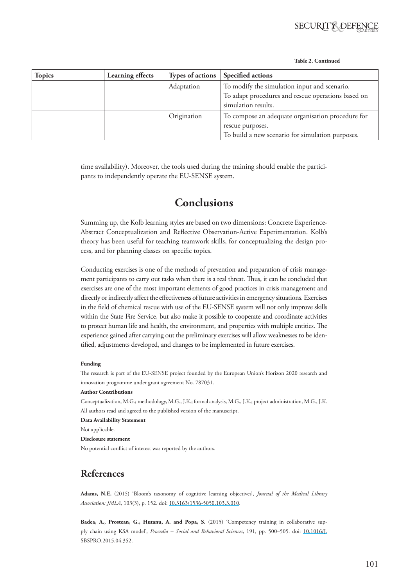#### **Table 2. Continued**

| <b>Topics</b> | <b>Learning effects</b> | <b>Types of actions</b> | Specified actions                                  |
|---------------|-------------------------|-------------------------|----------------------------------------------------|
|               |                         | Adaptation              | To modify the simulation input and scenario.       |
|               |                         |                         | To adapt procedures and rescue operations based on |
|               |                         |                         | simulation results.                                |
|               |                         | Origination             | To compose an adequate organisation procedure for  |
|               |                         |                         | rescue purposes.                                   |
|               |                         |                         | To build a new scenario for simulation purposes.   |

time availability). Moreover, the tools used during the training should enable the participants to independently operate the EU-SENSE system.

# **Conclusions**

Summing up, the Kolb learning styles are based on two dimensions: Concrete Experience-Abstract Conceptualization and Reflective Observation-Active Experimentation. Kolb's theory has been useful for teaching teamwork skills, for conceptualizing the design process, and for planning classes on specific topics.

Conducting exercises is one of the methods of prevention and preparation of crisis management participants to carry out tasks when there is a real threat. Thus, it can be concluded that exercises are one of the most important elements of good practices in crisis management and directly or indirectly affect the effectiveness of future activities in emergency situations. Exercises in the field of chemical rescue with use of the EU-SENSE system will not only improve skills within the State Fire Service, but also make it possible to cooperate and coordinate activities to protect human life and health, the environment, and properties with multiple entities. The experience gained after carrying out the preliminary exercises will allow weaknesses to be identified, adjustments developed, and changes to be implemented in future exercises.

#### **Funding**

The research is part of the EU-SENSE project founded by the European Union's Horizon 2020 research and innovation programme under grant agreement No. 787031.

#### **Author Contributions**

Conceptualization, M.G.; methodology, M.G., J.K.; formal analysis, M.G., J.K.; project administration, M.G., J.K. All authors read and agreed to the published version of the manuscript.

#### **Data Availability Statement**

Not applicable.

#### **Disclosure statement**

No potential conflict of interest was reported by the authors.

### **References**

<span id="page-7-0"></span>**Adams, N.E.** (2015) 'Bloom's taxonomy of cognitive learning objectives', *Journal of the Medical Library Association: JMLA*, 103(3), p. 152. doi: [10.3163/1536-5050.103.3.010.](http://doi.org/10.3163/1536-5050.103.3.010)

<span id="page-7-1"></span>Badea, A., Prostean, G., Hutanu, A. and Popa, S. (2015) 'Competency training in collaborative supply chain using KSA model', *Procedia – Social and Behavioral Sciences*, 191, pp. 500–505. doi: [10.1016/J.](http://doi.org/10.1016/J.SBSPRO.2015.04.352) [SBSPRO.2015.04.352](http://doi.org/10.1016/J.SBSPRO.2015.04.352).